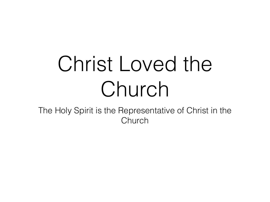# Christ Loved the Church

The Holy Spirit is the Representative of Christ in the Church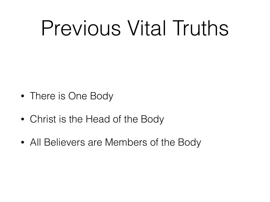## Previous Vital Truths

- There is One Body
- Christ is the Head of the Body
- All Believers are Members of the Body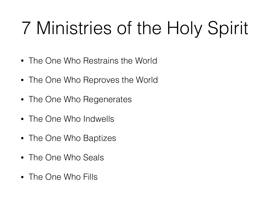#### 7 Ministries of the Holy Spirit

- The One Who Restrains the World
- The One Who Reproves the World
- The One Who Regenerates
- The One Who Indwells
- The One Who Baptizes
- The One Who Seals
- The One Who Fills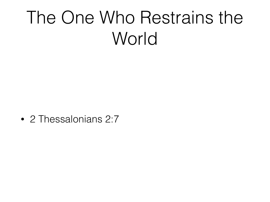#### The One Who Restrains the World

• 2 Thessalonians 2:7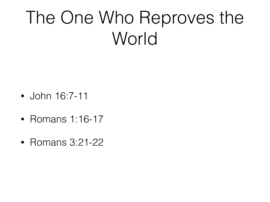#### The One Who Reproves the World

- John 16:7-11
- Romans 1:16-17
- Romans 3:21-22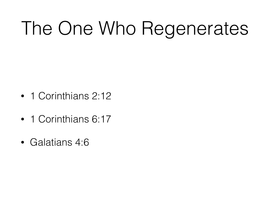### The One Who Regenerates

- 1 Corinthians 2:12
- 1 Corinthians 6:17
- Galatians 4:6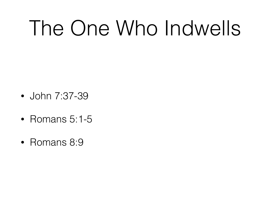## The One Who Indwells

- John 7:37-39
- Romans 5:1-5
- Romans 8:9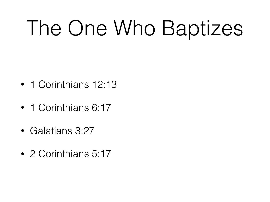# The One Who Baptizes

- 1 Corinthians 12:13
- 1 Corinthians 6:17
- Galatians 3:27
- 2 Corinthians 5:17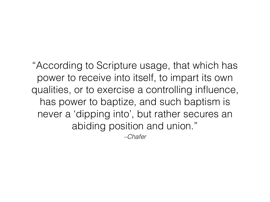"According to Scripture usage, that which has power to receive into itself, to impart its own qualities, or to exercise a controlling influence, has power to baptize, and such baptism is never a 'dipping into', but rather secures an abiding position and union."

*–Chafer*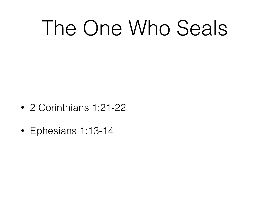## The One Who Seals

- 2 Corinthians 1:21-22
- Ephesians 1:13-14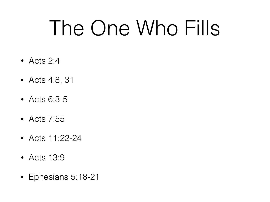## The One Who Fills

- Acts 2:4
- Acts 4:8, 31
- Acts 6:3-5
- Acts 7:55
- Acts 11:22-24
- Acts 13:9
- Ephesians 5:18-21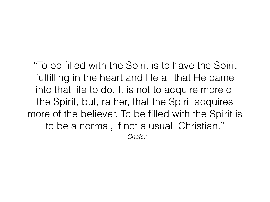*–Chafer* "To be filled with the Spirit is to have the Spirit fulfilling in the heart and life all that He came into that life to do. It is not to acquire more of the Spirit, but, rather, that the Spirit acquires more of the believer. To be filled with the Spirit is to be a normal, if not a usual, Christian."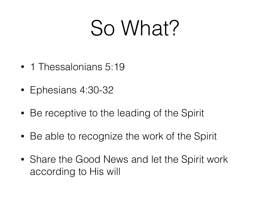#### So What?

- 1 Thessalonians 5:19
- Ephesians 4:30-32
- Be receptive to the leading of the Spirit
- Be able to recognize the work of the Spirit
- Share the Good News and let the Spirit work according to His will